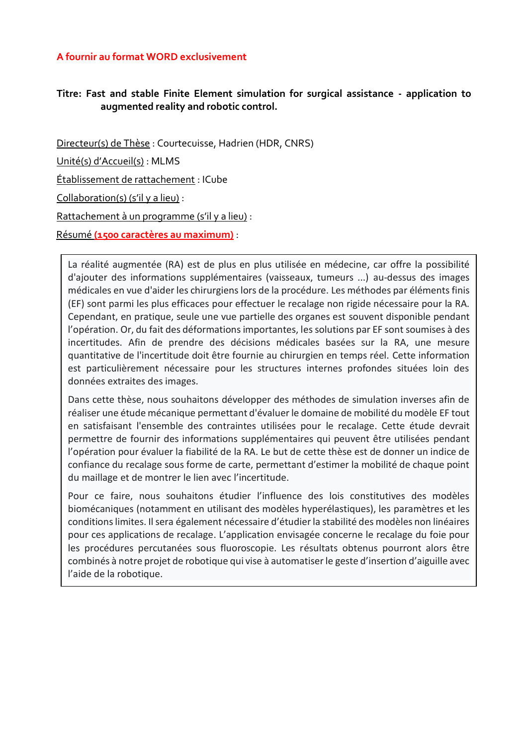## **A fournir au format WORD exclusivement**

## **Titre: Fast and stable Finite Element simulation for surgical assistance - application to augmented reality and robotic control.**

Directeur(s) de Thèse : Courtecuisse, Hadrien (HDR, CNRS) Unité(s) d'Accueil(s) : MLMS Établissement de rattachement : ICube Collaboration(s) (s'il y a lieu) : Rattachement à un programme (s'il y a lieu) : Résumé **(1500 caractères au maximum)** :

La réalité augmentée (RA) est de plus en plus utilisée en médecine, car offre la possibilité d'ajouter des informations supplémentaires (vaisseaux, tumeurs ...) au-dessus des images médicales en vue d'aider les chirurgiens lors de la procédure. Les méthodes par éléments finis (EF) sont parmi les plus efficaces pour effectuer le recalage non rigide nécessaire pour la RA. Cependant, en pratique, seule une vue partielle des organes est souvent disponible pendant l'opération. Or, du fait des déformations importantes, les solutions par EF sont soumises à des incertitudes. Afin de prendre des décisions médicales basées sur la RA, une mesure quantitative de l'incertitude doit être fournie au chirurgien en temps réel. Cette information est particulièrement nécessaire pour les structures internes profondes situées loin des données extraites des images.

Dans cette thèse, nous souhaitons développer des méthodes de simulation inverses afin de réaliser une étude mécanique permettant d'évaluer le domaine de mobilité du modèle EF tout en satisfaisant l'ensemble des contraintes utilisées pour le recalage. Cette étude devrait permettre de fournir des informations supplémentaires qui peuvent être utilisées pendant l'opération pour évaluer la fiabilité de la RA. Le but de cette thèse est de donner un indice de confiance du recalage sous forme de carte, permettant d'estimer la mobilité de chaque point du maillage et de montrer le lien avec l'incertitude.

Pour ce faire, nous souhaitons étudier l'influence des lois constitutives des modèles biomécaniques (notamment en utilisant des modèles hyperélastiques), les paramètres et les conditions limites. Il sera également nécessaire d'étudier la stabilité des modèles non linéaires pour ces applications de recalage. L'application envisagée concerne le recalage du foie pour les procédures percutanées sous fluoroscopie. Les résultats obtenus pourront alors être combinés à notre projet de robotique qui vise à automatiser le geste d'insertion d'aiguille avec l'aide de la robotique.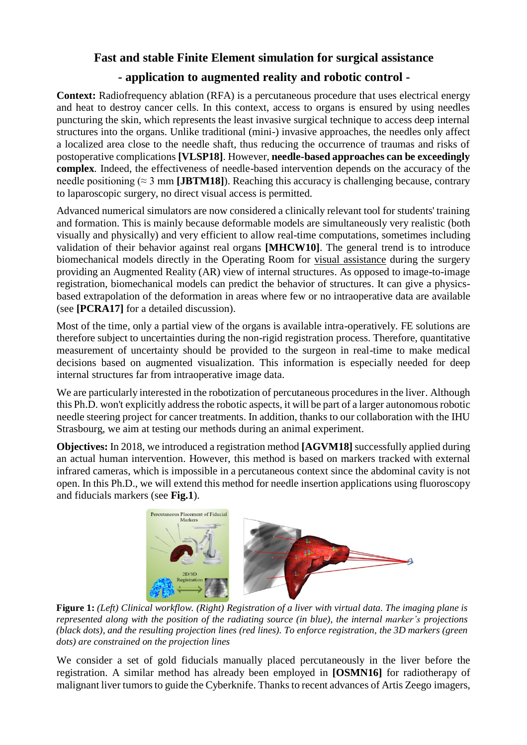## **Fast and stable Finite Element simulation for surgical assistance**

# **- application to augmented reality and robotic control -**

**Context:** Radiofrequency ablation (RFA) is a percutaneous procedure that uses electrical energy and heat to destroy cancer cells. In this context, access to organs is ensured by using needles puncturing the skin, which represents the least invasive surgical technique to access deep internal structures into the organs. Unlike traditional (mini-) invasive approaches, the needles only affect a localized area close to the needle shaft, thus reducing the occurrence of traumas and risks of postoperative complications **[VLSP18]**. However, **needle-based approaches can be exceedingly complex**. Indeed, the effectiveness of needle-based intervention depends on the accuracy of the needle positioning ( $\approx$  3 mm **[JBTM18]**). Reaching this accuracy is challenging because, contrary to laparoscopic surgery, no direct visual access is permitted.

Advanced numerical simulators are now considered a clinically relevant tool for students' training and formation. This is mainly because deformable models are simultaneously very realistic (both visually and physically) and very efficient to allow real-time computations, sometimes including validation of their behavior against real organs **[MHCW10]**. The general trend is to introduce biomechanical models directly in the Operating Room for visual assistance during the surgery providing an Augmented Reality (AR) view of internal structures. As opposed to image-to-image registration, biomechanical models can predict the behavior of structures. It can give a physicsbased extrapolation of the deformation in areas where few or no intraoperative data are available (see **[PCRA17]** for a detailed discussion).

Most of the time, only a partial view of the organs is available intra-operatively. FE solutions are therefore subject to uncertainties during the non-rigid registration process. Therefore, quantitative measurement of uncertainty should be provided to the surgeon in real-time to make medical decisions based on augmented visualization. This information is especially needed for deep internal structures far from intraoperative image data.

We are particularly interested in the robotization of percutaneous procedures in the liver. Although this Ph.D. won't explicitly address the robotic aspects, it will be part of a larger autonomous robotic needle steering project for cancer treatments. In addition, thanks to our collaboration with the IHU Strasbourg, we aim at testing our methods during an animal experiment.

**Objectives:** In 2018, we introduced a registration method **[AGVM18]** successfully applied during an actual human intervention. However, this method is based on markers tracked with external infrared cameras, which is impossible in a percutaneous context since the abdominal cavity is not open. In this Ph.D., we will extend this method for needle insertion applications using fluoroscopy and fiducials markers (see **Fig.1**).



**Figure 1:** *(Left) Clinical workflow. (Right) Registration of a liver with virtual data. The imaging plane is represented along with the position of the radiating source (in blue), the internal marker's projections (black dots), and the resulting projection lines (red lines). To enforce registration, the 3D markers (green dots) are constrained on the projection lines*

We consider a set of gold fiducials manually placed percutaneously in the liver before the registration. A similar method has already been employed in **[OSMN16]** for radiotherapy of malignant liver tumors to guide the Cyberknife. Thanks to recent advances of Artis Zeego imagers, **Figure 2:** *using 2D projective constraints (blue and green arrows). The mechanical solver then finds*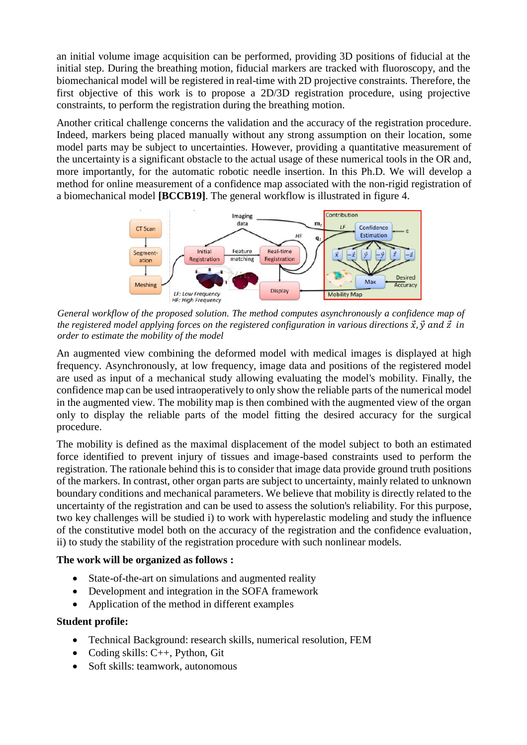an initial volume image acquisition can be performed, providing 3D positions of fiducial at the initial step. During the breathing motion, fiducial markers are tracked with fluoroscopy, and the biomechanical model will be registered in real-time with 2D projective constraints. Therefore, the first objective of this work is to propose a 2D/3D registration procedure, using projective constraints, to perform the registration during the breathing motion.

Another critical challenge concerns the validation and the accuracy of the registration procedure. Indeed, markers being placed manually without any strong assumption on their location, some model parts may be subject to uncertainties. However, providing a quantitative measurement of the uncertainty is a significant obstacle to the actual usage of these numerical tools in the OR and, more importantly, for the automatic robotic needle insertion. In this Ph.D. We will develop a method for online measurement of a confidence map associated with the non-rigid registration of a biomechanical model **[BCCB19]**. The general workflow is illustrated in figure 4.



*General workflow of the proposed solution. The method computes asynchronously a confidence map of the* registered model applying forces on the registered configuration in various directions  $\vec{x}$ ,  $\vec{y}$  and  $\vec{z}$  in *order to estimate the mobility of the model*

An augmented view combining the deformed model with medical images is displayed at high frequency. Asynchronously, at low frequency, image data and positions of the registered model are used as input of a mechanical study allowing evaluating the model's mobility. Finally, the confidence map can be used intraoperatively to only show the reliable parts of the numerical model in the augmented view. The mobility map is then combined with the augmented view of the organ only to display the reliable parts of the model fitting the desired accuracy for the surgical procedure.

The mobility is defined as the maximal displacement of the model subject to both an estimated force identified to prevent injury of tissues and image-based constraints used to perform the registration. The rationale behind this is to consider that image data provide ground truth positions of the markers. In contrast, other organ parts are subject to uncertainty, mainly related to unknown boundary conditions and mechanical parameters. We believe that mobility is directly related to the uncertainty of the registration and can be used to assess the solution's reliability. For this purpose, two key challenges will be studied i) to work with hyperelastic modeling and study the influence of the constitutive model both on the accuracy of the registration and the confidence evaluation, ii) to study the stability of the registration procedure with such nonlinear models.

### **The work will be organized as follows :**

- State-of-the-art on simulations and augmented reality
- Development and integration in the SOFA framework
- Application of the method in different examples

### **Student profile:**

- Technical Background: research skills, numerical resolution, FEM
- Coding skills:  $C_{++}$ , Python, Git
- Soft skills: teamwork, autonomous